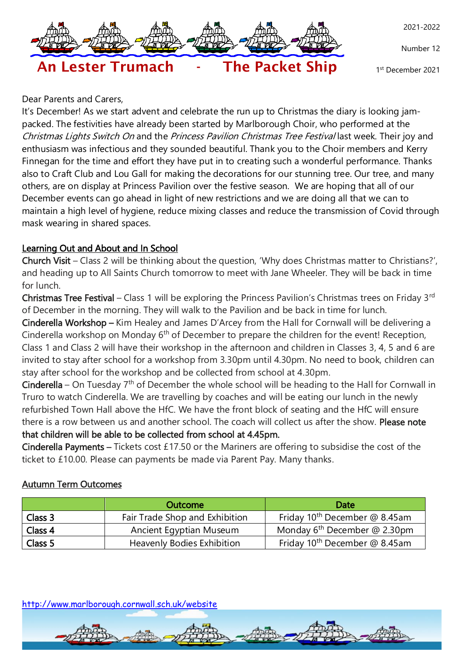

Number 12

2021-2022

1 st December 2021

#### Dear Parents and Carers,

It's December! As we start advent and celebrate the run up to Christmas the diary is looking jampacked. The festivities have already been started by Marlborough Choir, who performed at the Christmas Lights Switch On and the Princess Pavilion Christmas Tree Festival last week. Their joy and enthusiasm was infectious and they sounded beautiful. Thank you to the Choir members and Kerry Finnegan for the time and effort they have put in to creating such a wonderful performance. Thanks also to Craft Club and Lou Gall for making the decorations for our stunning tree. Our tree, and many others, are on display at Princess Pavilion over the festive season. We are hoping that all of our December events can go ahead in light of new restrictions and we are doing all that we can to maintain a high level of hygiene, reduce mixing classes and reduce the transmission of Covid through mask wearing in shared spaces.

# Learning Out and About and In School

Church Visit – Class 2 will be thinking about the question, 'Why does Christmas matter to Christians?', and heading up to All Saints Church tomorrow to meet with Jane Wheeler. They will be back in time for lunch.

Christmas Tree Festival – Class 1 will be exploring the Princess Pavilion's Christmas trees on Friday 3<sup>rd</sup> of December in the morning. They will walk to the Pavilion and be back in time for lunch.

Cinderella Workshop – Kim Healey and James D'Arcey from the Hall for Cornwall will be delivering a Cinderella workshop on Monday  $6<sup>th</sup>$  of December to prepare the children for the event! Reception, Class 1 and Class 2 will have their workshop in the afternoon and children in Classes 3, 4, 5 and 6 are invited to stay after school for a workshop from 3.30pm until 4.30pm. No need to book, children can stay after school for the workshop and be collected from school at 4.30pm.

Cinderella – On Tuesday  $7<sup>th</sup>$  of December the whole school will be heading to the Hall for Cornwall in Truro to watch Cinderella. We are travelling by coaches and will be eating our lunch in the newly refurbished Town Hall above the HfC. We have the front block of seating and the HfC will ensure there is a row between us and another school. The coach will collect us after the show. Please note that children will be able to be collected from school at 4.45pm.

Cinderella Payments – Tickets cost £17.50 or the Mariners are offering to subsidise the cost of the ticket to £10.00. Please can payments be made via Parent Pay. Many thanks.

## Autumn Term Outcomes

|         | <b>Outcome</b>                    | Date                                      |
|---------|-----------------------------------|-------------------------------------------|
| Class 3 | Fair Trade Shop and Exhibition    | Friday 10 <sup>th</sup> December @ 8.45am |
| Class 4 | Ancient Egyptian Museum           | Monday $6^{th}$ December @ 2.30pm         |
| Class 5 | <b>Heavenly Bodies Exhibition</b> | Friday 10 <sup>th</sup> December @ 8.45am |

<http://www.marlborough.cornwall.sch.uk/website>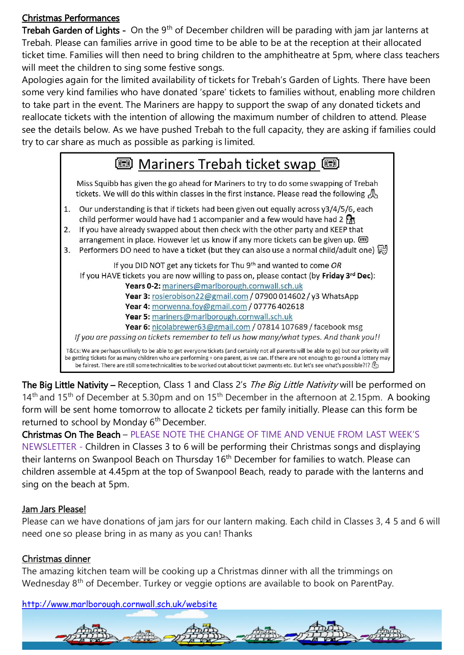# Christmas Performances

**Trebah Garden of Lights -** On the 9<sup>th</sup> of December children will be parading with jam jar lanterns at Trebah. Please can families arrive in good time to be able to be at the reception at their allocated ticket time. Families will then need to bring children to the amphitheatre at 5pm, where class teachers will meet the children to sing some festive songs.

Apologies again for the limited availability of tickets for Trebah's Garden of Lights. There have been some very kind families who have donated 'spare' tickets to families without, enabling more children to take part in the event. The Mariners are happy to support the swap of any donated tickets and reallocate tickets with the intention of allowing the maximum number of children to attend. Please see the details below. As we have pushed Trebah to the full capacity, they are asking if families could try to car share as much as possible as parking is limited.



The Big Little Nativity - Reception, Class 1 and Class 2's The Big Little Nativity will be performed on 14<sup>th</sup> and 15<sup>th</sup> of December at 5.30pm and on 15<sup>th</sup> December in the afternoon at 2.15pm. A booking form will be sent home tomorrow to allocate 2 tickets per family initially. Please can this form be returned to school by Monday  $6<sup>th</sup>$  December.

Christmas On The Beach – PLEASE NOTE THE CHANGE OF TIME AND VENUE FROM LAST WEEK'S NEWSLETTER - Children in Classes 3 to 6 will be performing their Christmas songs and displaying their lanterns on Swanpool Beach on Thursday 16<sup>th</sup> December for families to watch. Please can children assemble at 4.45pm at the top of Swanpool Beach, ready to parade with the lanterns and sing on the beach at 5pm.

## Jam Jars Please!

Please can we have donations of jam jars for our lantern making. Each child in Classes 3, 4 5 and 6 will need one so please bring in as many as you can! Thanks

## Christmas dinner

The amazing kitchen team will be cooking up a Christmas dinner with all the trimmings on Wednesday 8<sup>th</sup> of December. Turkey or veggie options are available to book on ParentPay.

<http://www.marlborough.cornwall.sch.uk/website>